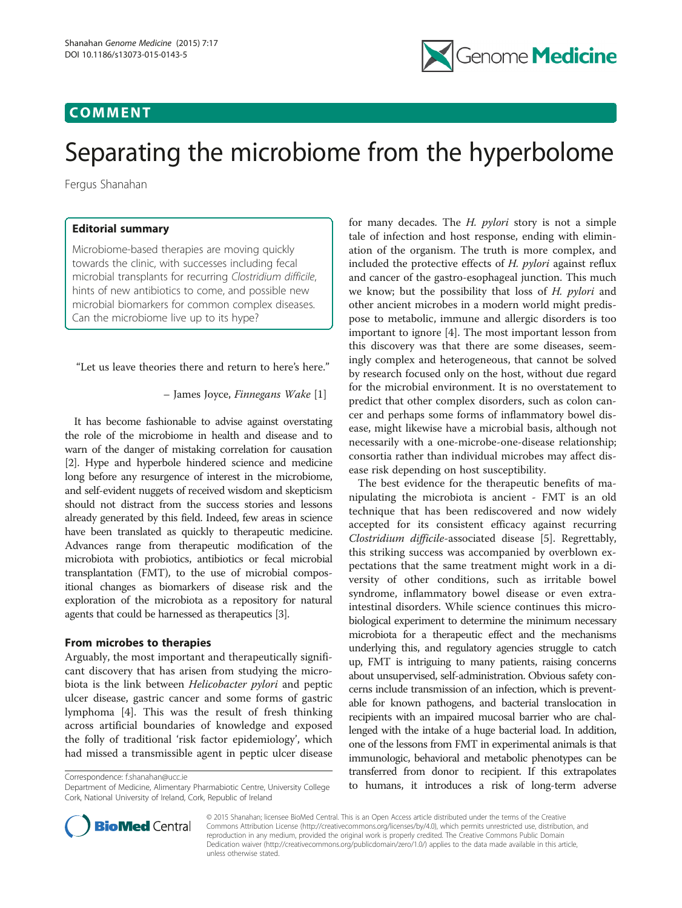## COMMENT



# Separation of the microbiometric the microbiometric theorem the microbiometric theorem the hyperbolometric the<br>Eeralis Shanahan

Fergus Shanahan

## Editorial summary

Microbiome-based therapies are moving quickly towards the clinic, with successes including fecal microbial transplants for recurring Clostridium difficile, hints of new antibiotics to come, and possible new microbial biomarkers for common complex diseases. Can the microbiome live up to its hype?

"Let us leave theories there and return to here's here."

– James Joyce, Finnegans Wake [\[1](#page-1-0)]

It has become fashionable to advise against overstating the role of the microbiome in health and disease and to warn of the danger of mistaking correlation for causation [[2](#page-1-0)]. Hype and hyperbole hindered science and medicine long before any resurgence of interest in the microbiome, and self-evident nuggets of received wisdom and skepticism should not distract from the success stories and lessons already generated by this field. Indeed, few areas in science have been translated as quickly to therapeutic medicine. Advances range from therapeutic modification of the microbiota with probiotics, antibiotics or fecal microbial transplantation (FMT), to the use of microbial compositional changes as biomarkers of disease risk and the exploration of the microbiota as a repository for natural agents that could be harnessed as therapeutics [\[3\]](#page-1-0).

### From microbes to therapies

Arguably, the most important and therapeutically significant discovery that has arisen from studying the microbiota is the link between Helicobacter pylori and peptic ulcer disease, gastric cancer and some forms of gastric lymphoma [[4\]](#page-1-0). This was the result of fresh thinking across artificial boundaries of knowledge and exposed the folly of traditional 'risk factor epidemiology', which had missed a transmissible agent in peptic ulcer disease

Correspondence: [f.shanahan@ucc.ie](mailto:f.shanahan@ucc.ie)

for many decades. The H. pylori story is not a simple tale of infection and host response, ending with elimination of the organism. The truth is more complex, and included the protective effects of H. pylori against reflux and cancer of the gastro-esophageal junction. This much we know; but the possibility that loss of H. pylori and other ancient microbes in a modern world might predispose to metabolic, immune and allergic disorders is too important to ignore [[4\]](#page-1-0). The most important lesson from this discovery was that there are some diseases, seemingly complex and heterogeneous, that cannot be solved by research focused only on the host, without due regard for the microbial environment. It is no overstatement to predict that other complex disorders, such as colon cancer and perhaps some forms of inflammatory bowel disease, might likewise have a microbial basis, although not necessarily with a one-microbe-one-disease relationship; consortia rather than individual microbes may affect disease risk depending on host susceptibility.

The best evidence for the therapeutic benefits of manipulating the microbiota is ancient - FMT is an old technique that has been rediscovered and now widely accepted for its consistent efficacy against recurring Clostridium difficile-associated disease [\[5\]](#page-2-0). Regrettably, this striking success was accompanied by overblown expectations that the same treatment might work in a diversity of other conditions, such as irritable bowel syndrome, inflammatory bowel disease or even extraintestinal disorders. While science continues this microbiological experiment to determine the minimum necessary microbiota for a therapeutic effect and the mechanisms underlying this, and regulatory agencies struggle to catch up, FMT is intriguing to many patients, raising concerns about unsupervised, self-administration. Obvious safety concerns include transmission of an infection, which is preventable for known pathogens, and bacterial translocation in recipients with an impaired mucosal barrier who are challenged with the intake of a huge bacterial load. In addition, one of the lessons from FMT in experimental animals is that immunologic, behavioral and metabolic phenotypes can be transferred from donor to recipient. If this extrapolates to humans, it introduces a risk of long-term adverse



© 2015 Shanahan; licensee BioMed Central. This is an Open Access article distributed under the terms of the Creative Commons Attribution License [\(http://creativecommons.org/licenses/by/4.0\)](http://creativecommons.org/licenses/by/4.0), which permits unrestricted use, distribution, and reproduction in any medium, provided the original work is properly credited. The Creative Commons Public Domain Dedication waiver [\(http://creativecommons.org/publicdomain/zero/1.0/](http://creativecommons.org/publicdomain/zero/1.0/)) applies to the data made available in this article, unless otherwise stated.

Department of Medicine, Alimentary Pharmabiotic Centre, University College Cork, National University of Ireland, Cork, Republic of Ireland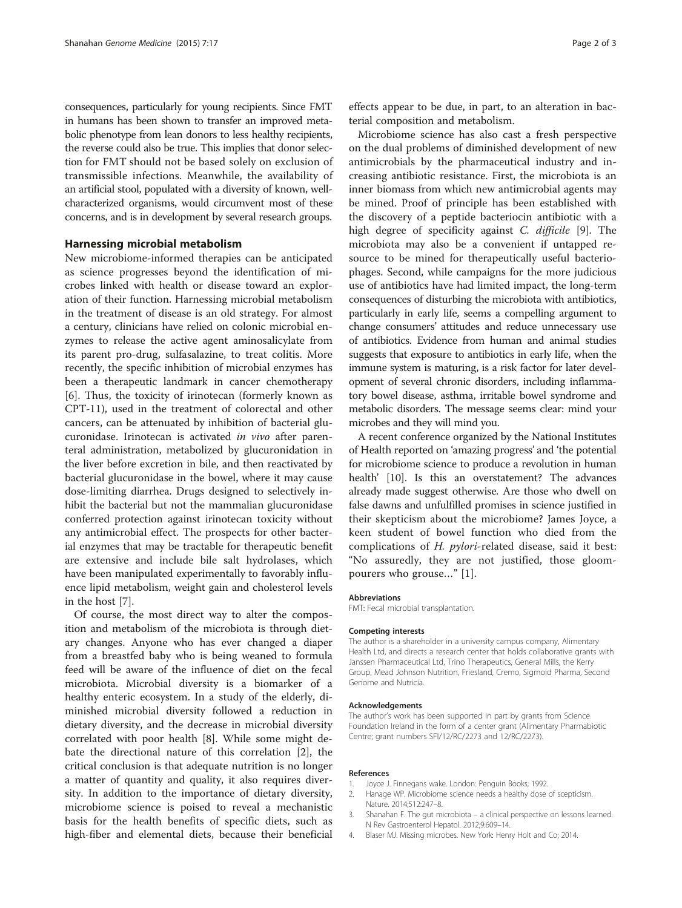<span id="page-1-0"></span>consequences, particularly for young recipients. Since FMT in humans has been shown to transfer an improved metabolic phenotype from lean donors to less healthy recipients, the reverse could also be true. This implies that donor selection for FMT should not be based solely on exclusion of transmissible infections. Meanwhile, the availability of an artificial stool, populated with a diversity of known, wellcharacterized organisms, would circumvent most of these concerns, and is in development by several research groups.

#### Harnessing microbial metabolism

New microbiome-informed therapies can be anticipated as science progresses beyond the identification of microbes linked with health or disease toward an exploration of their function. Harnessing microbial metabolism in the treatment of disease is an old strategy. For almost a century, clinicians have relied on colonic microbial enzymes to release the active agent aminosalicylate from its parent pro-drug, sulfasalazine, to treat colitis. More recently, the specific inhibition of microbial enzymes has been a therapeutic landmark in cancer chemotherapy [[6\]](#page-2-0). Thus, the toxicity of irinotecan (formerly known as CPT-11), used in the treatment of colorectal and other cancers, can be attenuated by inhibition of bacterial glucuronidase. Irinotecan is activated in vivo after parenteral administration, metabolized by glucuronidation in the liver before excretion in bile, and then reactivated by bacterial glucuronidase in the bowel, where it may cause dose-limiting diarrhea. Drugs designed to selectively inhibit the bacterial but not the mammalian glucuronidase conferred protection against irinotecan toxicity without any antimicrobial effect. The prospects for other bacterial enzymes that may be tractable for therapeutic benefit are extensive and include bile salt hydrolases, which have been manipulated experimentally to favorably influence lipid metabolism, weight gain and cholesterol levels in the host [[7\]](#page-2-0).

Of course, the most direct way to alter the composition and metabolism of the microbiota is through dietary changes. Anyone who has ever changed a diaper from a breastfed baby who is being weaned to formula feed will be aware of the influence of diet on the fecal microbiota. Microbial diversity is a biomarker of a healthy enteric ecosystem. In a study of the elderly, diminished microbial diversity followed a reduction in dietary diversity, and the decrease in microbial diversity correlated with poor health [[8\]](#page-2-0). While some might debate the directional nature of this correlation [2], the critical conclusion is that adequate nutrition is no longer a matter of quantity and quality, it also requires diversity. In addition to the importance of dietary diversity, microbiome science is poised to reveal a mechanistic basis for the health benefits of specific diets, such as high-fiber and elemental diets, because their beneficial

effects appear to be due, in part, to an alteration in bacterial composition and metabolism.

Microbiome science has also cast a fresh perspective on the dual problems of diminished development of new antimicrobials by the pharmaceutical industry and increasing antibiotic resistance. First, the microbiota is an inner biomass from which new antimicrobial agents may be mined. Proof of principle has been established with the discovery of a peptide bacteriocin antibiotic with a high degree of specificity against C. difficile [[9\]](#page-2-0). The microbiota may also be a convenient if untapped resource to be mined for therapeutically useful bacteriophages. Second, while campaigns for the more judicious use of antibiotics have had limited impact, the long-term consequences of disturbing the microbiota with antibiotics, particularly in early life, seems a compelling argument to change consumers' attitudes and reduce unnecessary use of antibiotics. Evidence from human and animal studies suggests that exposure to antibiotics in early life, when the immune system is maturing, is a risk factor for later development of several chronic disorders, including inflammatory bowel disease, asthma, irritable bowel syndrome and metabolic disorders. The message seems clear: mind your microbes and they will mind you.

A recent conference organized by the National Institutes of Health reported on 'amazing progress' and 'the potential for microbiome science to produce a revolution in human health' [[10](#page-2-0)]. Is this an overstatement? The advances already made suggest otherwise. Are those who dwell on false dawns and unfulfilled promises in science justified in their skepticism about the microbiome? James Joyce, a keen student of bowel function who died from the complications of H. pylori-related disease, said it best: "No assuredly, they are not justified, those gloompourers who grouse…" [1].

#### Abbreviations

FMT: Fecal microbial transplantation.

#### Competing interests

The author is a shareholder in a university campus company, Alimentary Health Ltd, and directs a research center that holds collaborative grants with Janssen Pharmaceutical Ltd, Trino Therapeutics, General Mills, the Kerry Group, Mead Johnson Nutrition, Friesland, Cremo, Sigmoid Pharma, Second Genome and Nutricia.

#### Acknowledgements

The author's work has been supported in part by grants from Science Foundation Ireland in the form of a center grant (Alimentary Pharmabiotic Centre; grant numbers SFI/12/RC/2273 and 12/RC/2273).

#### References

- 1. Joyce J. Finnegans wake. London: Penguin Books; 1992.
- 2. Hanage WP. Microbiome science needs a healthy dose of scepticism. Nature. 2014;512:247–8.
- 3. Shanahan F. The gut microbiota a clinical perspective on lessons learned. N Rev Gastroenterol Hepatol. 2012;9:609–14.
- 4. Blaser MJ. Missing microbes. New York: Henry Holt and Co; 2014.